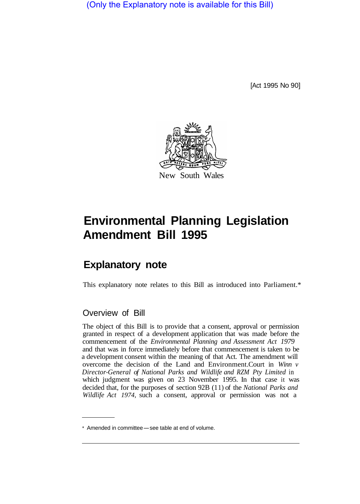(Only the Explanatory note is available for this Bill)

[Act 1995 No 90]



## **Environmental Planning Legislation Amendment Bill 1995**

## **Explanatory note**

This explanatory note relates to this Bill as introduced into Parliament.\*

## Overview of Bill

The object of this Bill is to provide that a consent, approval or permission granted in respect of a development application that was made before the commencement of the *Environmental Planning and Assessment Act 1979*  and that was in force immediately before that commencement is taken to be a development consent within the meaning of that Act. The amendment will overcome the decision of the Land and Environment. Court in *Winn v Director-General of National Parks and Wildlife and RZM Pty Limited* in which judgment was given on 23 November 1995. In that case it was decided that, for the purposes of section 92B (1 1) of the *National Parks and Wildlife Act 1974,* such a consent, approval or permission was not a

<sup>\*</sup> Amended in committee - see table at end of volume.